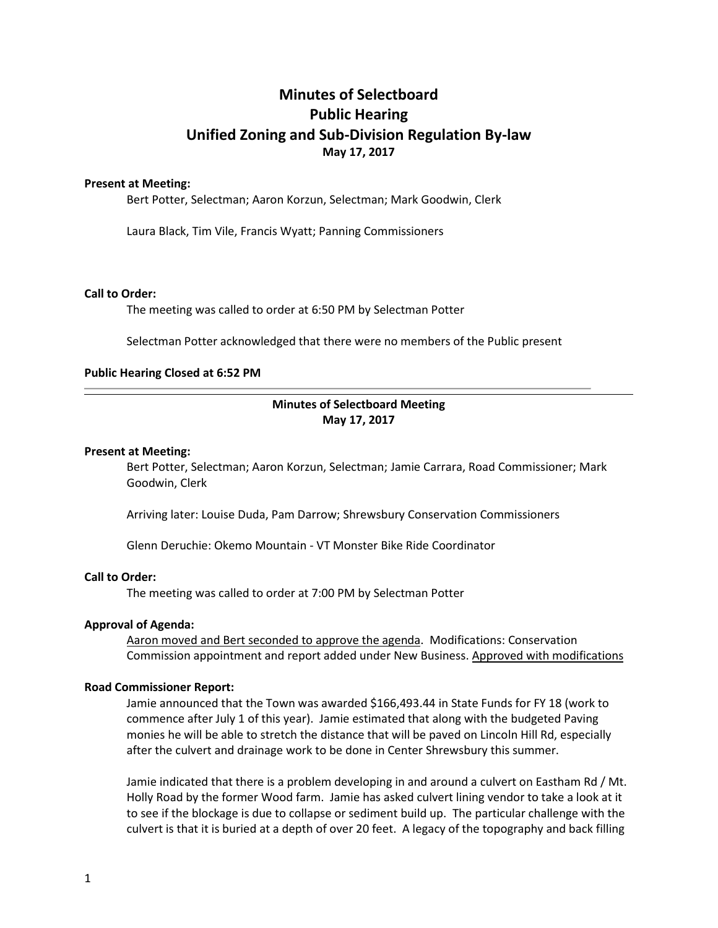# **Minutes of Selectboard Public Hearing Unified Zoning and Sub-Division Regulation By-law May 17, 2017**

## **Present at Meeting:**

Bert Potter, Selectman; Aaron Korzun, Selectman; Mark Goodwin, Clerk

Laura Black, Tim Vile, Francis Wyatt; Panning Commissioners

#### **Call to Order:**

The meeting was called to order at 6:50 PM by Selectman Potter

Selectman Potter acknowledged that there were no members of the Public present

### **Public Hearing Closed at 6:52 PM**

# **Minutes of Selectboard Meeting May 17, 2017**

### **Present at Meeting:**

Bert Potter, Selectman; Aaron Korzun, Selectman; Jamie Carrara, Road Commissioner; Mark Goodwin, Clerk

Arriving later: Louise Duda, Pam Darrow; Shrewsbury Conservation Commissioners

Glenn Deruchie: Okemo Mountain - VT Monster Bike Ride Coordinator

## **Call to Order:**

The meeting was called to order at 7:00 PM by Selectman Potter

## **Approval of Agenda:**

Aaron moved and Bert seconded to approve the agenda. Modifications: Conservation Commission appointment and report added under New Business. Approved with modifications

#### **Road Commissioner Report:**

Jamie announced that the Town was awarded \$166,493.44 in State Funds for FY 18 (work to commence after July 1 of this year). Jamie estimated that along with the budgeted Paving monies he will be able to stretch the distance that will be paved on Lincoln Hill Rd, especially after the culvert and drainage work to be done in Center Shrewsbury this summer.

Jamie indicated that there is a problem developing in and around a culvert on Eastham Rd / Mt. Holly Road by the former Wood farm. Jamie has asked culvert lining vendor to take a look at it to see if the blockage is due to collapse or sediment build up. The particular challenge with the culvert is that it is buried at a depth of over 20 feet. A legacy of the topography and back filling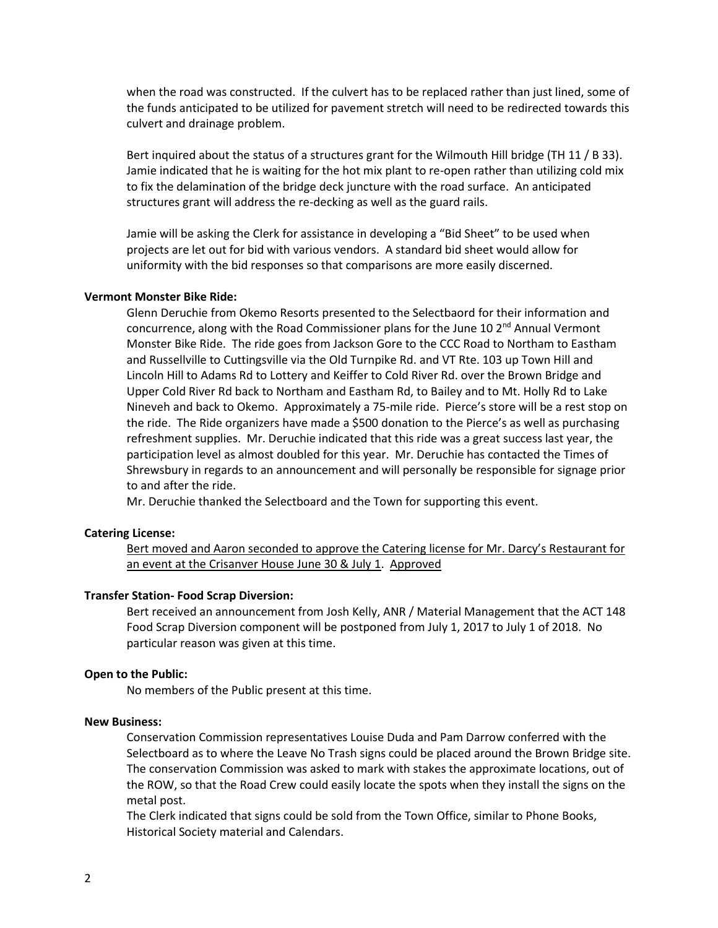when the road was constructed. If the culvert has to be replaced rather than just lined, some of the funds anticipated to be utilized for pavement stretch will need to be redirected towards this culvert and drainage problem.

Bert inquired about the status of a structures grant for the Wilmouth Hill bridge (TH 11 / B 33). Jamie indicated that he is waiting for the hot mix plant to re-open rather than utilizing cold mix to fix the delamination of the bridge deck juncture with the road surface. An anticipated structures grant will address the re-decking as well as the guard rails.

Jamie will be asking the Clerk for assistance in developing a "Bid Sheet" to be used when projects are let out for bid with various vendors. A standard bid sheet would allow for uniformity with the bid responses so that comparisons are more easily discerned.

### **Vermont Monster Bike Ride:**

Glenn Deruchie from Okemo Resorts presented to the Selectbaord for their information and concurrence, along with the Road Commissioner plans for the June 10 2<sup>nd</sup> Annual Vermont Monster Bike Ride. The ride goes from Jackson Gore to the CCC Road to Northam to Eastham and Russellville to Cuttingsville via the Old Turnpike Rd. and VT Rte. 103 up Town Hill and Lincoln Hill to Adams Rd to Lottery and Keiffer to Cold River Rd. over the Brown Bridge and Upper Cold River Rd back to Northam and Eastham Rd, to Bailey and to Mt. Holly Rd to Lake Nineveh and back to Okemo. Approximately a 75-mile ride. Pierce's store will be a rest stop on the ride. The Ride organizers have made a \$500 donation to the Pierce's as well as purchasing refreshment supplies. Mr. Deruchie indicated that this ride was a great success last year, the participation level as almost doubled for this year. Mr. Deruchie has contacted the Times of Shrewsbury in regards to an announcement and will personally be responsible for signage prior to and after the ride.

Mr. Deruchie thanked the Selectboard and the Town for supporting this event.

## **Catering License:**

Bert moved and Aaron seconded to approve the Catering license for Mr. Darcy's Restaurant for an event at the Crisanver House June 30 & July 1. Approved

#### **Transfer Station- Food Scrap Diversion:**

Bert received an announcement from Josh Kelly, ANR / Material Management that the ACT 148 Food Scrap Diversion component will be postponed from July 1, 2017 to July 1 of 2018. No particular reason was given at this time.

#### **Open to the Public:**

No members of the Public present at this time.

## **New Business:**

Conservation Commission representatives Louise Duda and Pam Darrow conferred with the Selectboard as to where the Leave No Trash signs could be placed around the Brown Bridge site. The conservation Commission was asked to mark with stakes the approximate locations, out of the ROW, so that the Road Crew could easily locate the spots when they install the signs on the metal post.

The Clerk indicated that signs could be sold from the Town Office, similar to Phone Books, Historical Society material and Calendars.